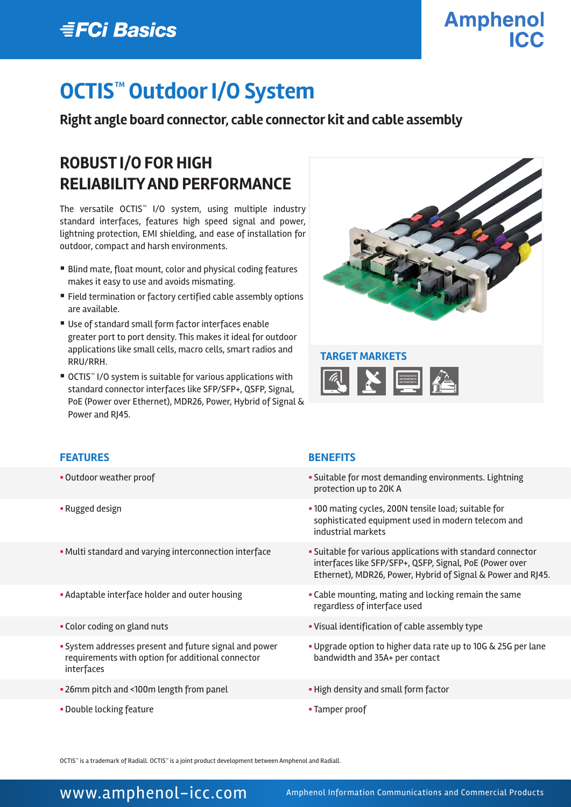## **EFCi Basics**

# **Amphenol**

# **OCTIS™ Outdoor I/O System**

#### **Right angle board connector, cable connector kit and cable assembly**

#### **ROBUST I/O FOR HIGH RELIABILITY AND PERFORMANCE**

The versatile OCTIS™ I/O system, using multiple industry standard interfaces, features high speed signal and power, lightning protection, EMI shielding, and ease of installation for outdoor, compact and harsh environments.

- Blind mate, float mount, color and physical coding features makes it easy to use and avoids mismating.
- Field termination or factory certified cable assembly options are available.
- Use of standard small form factor interfaces enable greater port to port density. This makes it ideal for outdoor applications like small cells, macro cells, smart radios and RRU/RRH.
- OCTIS<sup>™</sup> I/O system is suitable for various applications with standard connector interfaces like SFP/SFP+, QSFP, Signal, PoE (Power over Ethernet), MDR26, Power, Hybrid of Signal & Power and RJ45.



# K E E

#### **FEATURES BENEFITS**

- 
- 
- 
- 
- 
- § System addresses present and future signal and power requirements with option for additional connector interfaces
- 26mm pitch and <100m length from panel **Example 26 High density and small form factor**
- § Double locking feature § Tamper proof

- Outdoor weather proof **Exercise 2018 Suitable for most demanding environments. Lightning** protection up to 20K A
- Rugged design **b** 100 mating cycles, 200N tensile load; suitable for sophisticated equipment used in modern telecom and industrial markets
- Multi standard and varying interconnection interface said suitable for various applications with standard connector interfaces like SFP/SFP+, QSFP, Signal, PoE (Power over Ethernet), MDR26, Power, Hybrid of Signal & Power and RJ45.
- Adaptable interface holder and outer housing **intercoll •** Cable mounting, mating and locking remain the same regardless of interface used
- § Color coding on gland nuts § Visual identification of cable assembly type
	- § Upgrade option to higher data rate up to 10G & 25G per lane bandwidth and 35A+ per contact
	-
	-

OCTIS™ is a trademark of Radiall. OCTIS™ is a joint product development between Amphenol and Radiall.

#### WWW.amphenol-icc.com Amphenol Information Communications and Commercial Products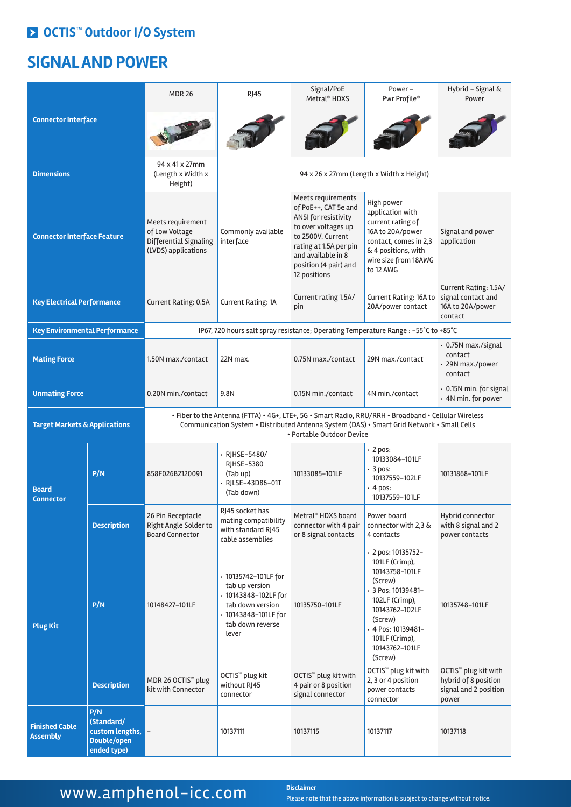#### **OCTIS™ Outdoor I/O System**

#### **SIGNAL AND POWER**

| <b>Connector Interface</b>               |                                                                    | <b>MDR 26</b>                                                                                                                                                                                                                   | <b>RJ45</b>                                                                                                                             | Signal/PoE<br>Metral <sup>®</sup> HDXS                                                                                                                                                                  | Power -<br>Pwr Profile®                                                                                                                                                                                         | Hybrid - Signal &<br>Power                                                                 |  |
|------------------------------------------|--------------------------------------------------------------------|---------------------------------------------------------------------------------------------------------------------------------------------------------------------------------------------------------------------------------|-----------------------------------------------------------------------------------------------------------------------------------------|---------------------------------------------------------------------------------------------------------------------------------------------------------------------------------------------------------|-----------------------------------------------------------------------------------------------------------------------------------------------------------------------------------------------------------------|--------------------------------------------------------------------------------------------|--|
|                                          |                                                                    |                                                                                                                                                                                                                                 |                                                                                                                                         |                                                                                                                                                                                                         |                                                                                                                                                                                                                 |                                                                                            |  |
| <b>Dimensions</b>                        |                                                                    | 94 x 41 x 27mm<br>(Length x Width x<br>Height)                                                                                                                                                                                  | 94 x 26 x 27mm (Length x Width x Height)                                                                                                |                                                                                                                                                                                                         |                                                                                                                                                                                                                 |                                                                                            |  |
| <b>Connector Interface Feature</b>       |                                                                    | Meets requirement<br>of Low Voltage<br>Differential Signaling<br>(LVDS) applications                                                                                                                                            | Commonly available<br>interface                                                                                                         | Meets requirements<br>of PoE++, CAT 5e and<br>ANSI for resistivity<br>to over voltages up<br>to 2500V. Current<br>rating at 1.5A per pin<br>and available in 8<br>position (4 pair) and<br>12 positions | High power<br>application with<br>current rating of<br>16A to 20A/power<br>contact, comes in 2,3<br>& 4 positions, with<br>wire size from 18AWG<br>to 12 AWG                                                    | Signal and power<br>application                                                            |  |
| <b>Key Electrical Performance</b>        |                                                                    | Current Rating: 0.5A                                                                                                                                                                                                            | Current Rating: 1A                                                                                                                      | Current rating 1.5A/<br>pin                                                                                                                                                                             | Current Rating: 16A to<br>20A/power contact                                                                                                                                                                     | Current Rating: 1.5A/<br>signal contact and<br>16A to 20A/power<br>contact                 |  |
| <b>Key Environmental Performance</b>     |                                                                    | IP67, 720 hours salt spray resistance; Operating Temperature Range : - 55°C to +85°C                                                                                                                                            |                                                                                                                                         |                                                                                                                                                                                                         |                                                                                                                                                                                                                 |                                                                                            |  |
| <b>Mating Force</b>                      |                                                                    | 1.50N max./contact                                                                                                                                                                                                              | 22N max.                                                                                                                                | 0.75N max./contact                                                                                                                                                                                      | 29N max./contact                                                                                                                                                                                                | • 0.75N max./signal<br>contact<br>· 29N max./power<br>contact                              |  |
| <b>Unmating Force</b>                    |                                                                    | 0.20N min./contact                                                                                                                                                                                                              | 9.8N                                                                                                                                    | 0.15N min./contact                                                                                                                                                                                      | 4N min./contact                                                                                                                                                                                                 | • 0.15N min. for signal<br>• 4N min. for power                                             |  |
| <b>Target Markets &amp; Applications</b> |                                                                    | . Fiber to the Antenna (FTTA) . 4G+, LTE+, 5G . Smart Radio, RRU/RRH . Broadband . Cellular Wireless<br>Communication System • Distributed Antenna System (DAS) • Smart Grid Network • Small Cells<br>• Portable Outdoor Device |                                                                                                                                         |                                                                                                                                                                                                         |                                                                                                                                                                                                                 |                                                                                            |  |
| <b>Board</b><br><b>Connector</b>         | P/N                                                                | 858F026B2120091                                                                                                                                                                                                                 | · RJHSE-5480/<br><b>RIHSE-5380</b><br>(Tab up)<br>· RJLSE-43D86-01T<br>(Tab down)                                                       | 10133085-101LF                                                                                                                                                                                          | 2 pos:<br>10133084-101LF<br>$\cdot$ 3 pos:<br>10137559-102LF<br>$\cdot$ 4 pos:<br>10137559-101LF                                                                                                                | 10131868-101LF                                                                             |  |
|                                          | <b>Description</b>                                                 | 26 Pin Receptacle<br>Right Angle Solder to<br><b>Board Connector</b>                                                                                                                                                            | RI45 socket has<br>mating compatibility<br>with standard RJ45<br>cable assemblies                                                       | Metral® HDXS board<br>connector with 4 pair<br>or 8 signal contacts                                                                                                                                     | Power board<br>connector with 2,3 &<br>4 contacts                                                                                                                                                               | Hybrid connector<br>with 8 signal and 2<br>power contacts                                  |  |
| <b>Plug Kit</b>                          | P/N                                                                | 10148427-101LF                                                                                                                                                                                                                  | · 10135742-101LF for<br>tab up version<br>· 10143848-102LF for<br>tab down version<br>· 10143848-101LF for<br>tab down reverse<br>lever | 10135750-101LF                                                                                                                                                                                          | $\cdot$ 2 pos: 10135752-<br>101LF (Crimp),<br>10143758-101LF<br>(Screw)<br>3 Pos: 10139481-<br>102LF (Crimp),<br>10143762-102LF<br>(Screw)<br>+ 4 Pos: 10139481-<br>101LF (Crimp),<br>10143762-101LF<br>(Screw) | 10135748-101LF                                                                             |  |
|                                          | <b>Description</b>                                                 | MDR 26 OCTIS <sup>™</sup> plug<br>kit with Connector                                                                                                                                                                            | OCTIS <sup>™</sup> plug kit<br>without RJ45<br>connector                                                                                | OCTIS <sup>™</sup> plug kit with<br>4 pair or 8 position<br>signal connector                                                                                                                            | OCTIS <sup>™</sup> plug kit with<br>2, 3 or 4 position<br>power contacts<br>connector                                                                                                                           | OCTIS <sup>™</sup> plug kit with<br>hybrid of 8 position<br>signal and 2 position<br>power |  |
| <b>Finished Cable</b><br><b>Assembly</b> | P/N<br>(Standard/<br>custom lengths,<br>Double/open<br>ended type) |                                                                                                                                                                                                                                 | 10137111                                                                                                                                | 10137115                                                                                                                                                                                                | 10137117                                                                                                                                                                                                        | 10137118                                                                                   |  |

### WWW.amphenol-icc.com **Disclaimer**

Please note that the above information is subject to change without notice.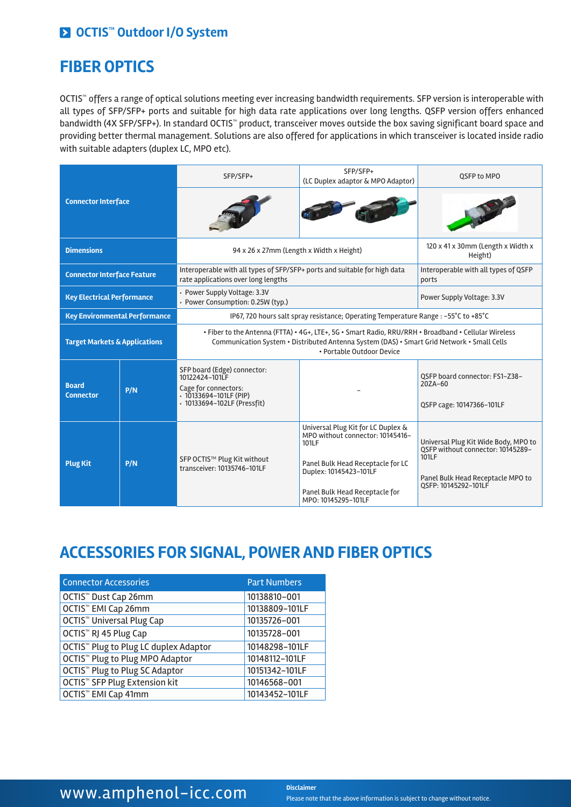#### **OCTIS™ Outdoor I/O System**

#### **FIBER OPTICS**

OCTIS™ offers a range of optical solutions meeting ever increasing bandwidth requirements. SFP version is interoperable with all types of SFP/SFP+ ports and suitable for high data rate applications over long lengths. QSFP version offers enhanced bandwidth (4X SFP/SFP+). In standard OCTIS™ product, transceiver moves outside the box saving significant board space and providing better thermal management. Solutions are also offered for applications in which transceiver is located inside radio with suitable adapters (duplex LC, MPO etc).

| <b>Connector Interface</b>               |     | SFP/SFP+                                                                                                                                                                                                                        | SFP/SFP+<br>(LC Duplex adaptor & MPO Adaptor)                                                                                                                                                           | QSFP to MPO                                                                                                                                     |  |  |
|------------------------------------------|-----|---------------------------------------------------------------------------------------------------------------------------------------------------------------------------------------------------------------------------------|---------------------------------------------------------------------------------------------------------------------------------------------------------------------------------------------------------|-------------------------------------------------------------------------------------------------------------------------------------------------|--|--|
|                                          |     |                                                                                                                                                                                                                                 |                                                                                                                                                                                                         |                                                                                                                                                 |  |  |
| <b>Dimensions</b>                        |     | 94 x 26 x 27mm (Length x Width x Height)                                                                                                                                                                                        | 120 x 41 x 30mm (Length x Width x<br>Height)                                                                                                                                                            |                                                                                                                                                 |  |  |
| <b>Connector Interface Feature</b>       |     | Interoperable with all types of SFP/SFP+ ports and suitable for high data<br>rate applications over long lengths                                                                                                                | Interoperable with all types of QSFP<br>ports                                                                                                                                                           |                                                                                                                                                 |  |  |
| <b>Key Electrical Performance</b>        |     | Power Supply Voltage: 3.3V<br>· Power Consumption: 0.25W (typ.)                                                                                                                                                                 | Power Supply Voltage: 3.3V                                                                                                                                                                              |                                                                                                                                                 |  |  |
| <b>Key Environmental Performance</b>     |     | IP67, 720 hours salt spray resistance; Operating Temperature Range : -55°C to +85°C                                                                                                                                             |                                                                                                                                                                                                         |                                                                                                                                                 |  |  |
| <b>Target Markets &amp; Applications</b> |     | . Fiber to the Antenna (FTTA) • 4G+, LTE+, 5G • Smart Radio, RRU/RRH • Broadband • Cellular Wireless<br>Communication System • Distributed Antenna System (DAS) • Smart Grid Network • Small Cells<br>• Portable Outdoor Device |                                                                                                                                                                                                         |                                                                                                                                                 |  |  |
| <b>Board</b><br><b>Connector</b>         | P/N | SFP board (Edge) connector:<br>10122424-101LF<br>Cage for connectors:<br>· 10133694-101LF (PIP)<br>· 10133694-102LF (Pressfit)                                                                                                  |                                                                                                                                                                                                         | OSFP board connector: FS1-Z38-<br>$20ZA-60$<br>QSFP cage: 10147366-101LF                                                                        |  |  |
| <b>Plug Kit</b>                          | P/N | SFP OCTIS™ Plug Kit without<br>transceiver: 10135746-101LF                                                                                                                                                                      | Universal Plug Kit for LC Duplex &<br>MPO without connector: 10145416-<br>101LF<br>Panel Bulk Head Receptacle for LC<br>Duplex: 10145423-101LF<br>Panel Bulk Head Receptacle for<br>MPO: 10145295-101LF | Universal Plug Kit Wide Body, MPO to<br>QSFP without connector: 10145289-<br>101LF<br>Panel Bulk Head Receptacle MPO to<br>OSFP: 10145292-101LF |  |  |

#### **ACCESSORIES FOR SIGNAL, POWER AND FIBER OPTICS**

| <b>Connector Accessories</b>                      | <b>Part Numbers</b> |
|---------------------------------------------------|---------------------|
| OCTIS <sup>™</sup> Dust Cap 26mm                  | 10138810-001        |
| OCTIS <sup>™</sup> EMI Cap 26mm                   | 10138809-101LF      |
| OCTIS <sup>™</sup> Universal Plug Cap             | 10135726-001        |
| OCTIS <sup>™</sup> RJ 45 Plug Cap                 | 10135728-001        |
| OCTIS <sup>™</sup> Plug to Plug LC duplex Adaptor | 10148298-101LF      |
| OCTIS <sup>™</sup> Plug to Plug MPO Adaptor       | 10148112-101LF      |
| OCTIS <sup>™</sup> Plug to Plug SC Adaptor        | 10151342-101LF      |
| OCTIS <sup>™</sup> SFP Plug Extension kit         | 10146568-001        |
| OCTIS <sup>™</sup> EMI Cap 41mm                   | 10143452-101LF      |

#### **WWW.amphenol-icc.com** Disclaimer